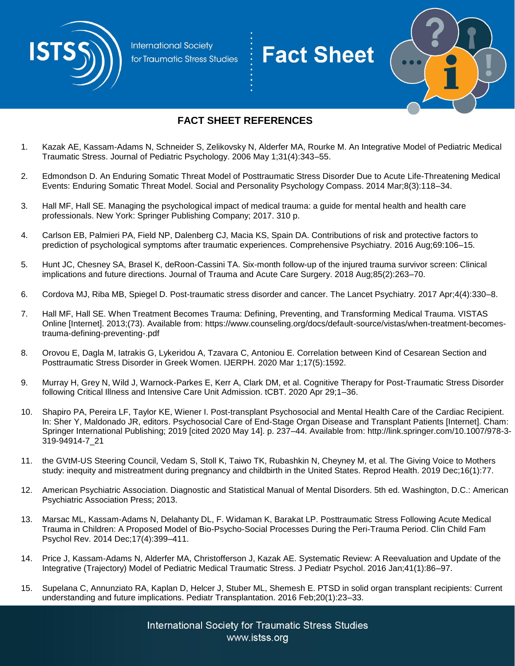

**International Society** for Traumatic Stress Studies

## **Fact Sheet**



## **FACT SHEET REFERENCES**

- 1. Kazak AE, Kassam-Adams N, Schneider S, Zelikovsky N, Alderfer MA, Rourke M. An Integrative Model of Pediatric Medical Traumatic Stress. Journal of Pediatric Psychology. 2006 May 1;31(4):343–55.
- 2. Edmondson D. An Enduring Somatic Threat Model of Posttraumatic Stress Disorder Due to Acute Life-Threatening Medical Events: Enduring Somatic Threat Model. Social and Personality Psychology Compass. 2014 Mar;8(3):118–34.
- 3. Hall MF, Hall SE. Managing the psychological impact of medical trauma: a guide for mental health and health care professionals. New York: Springer Publishing Company; 2017. 310 p.
- 4. Carlson EB, Palmieri PA, Field NP, Dalenberg CJ, Macia KS, Spain DA. Contributions of risk and protective factors to prediction of psychological symptoms after traumatic experiences. Comprehensive Psychiatry. 2016 Aug;69:106–15.
- 5. Hunt JC, Chesney SA, Brasel K, deRoon-Cassini TA. Six-month follow-up of the injured trauma survivor screen: Clinical implications and future directions. Journal of Trauma and Acute Care Surgery. 2018 Aug;85(2):263–70.
- 6. Cordova MJ, Riba MB, Spiegel D. Post-traumatic stress disorder and cancer. The Lancet Psychiatry. 2017 Apr;4(4):330–8.
- 7. Hall MF, Hall SE. When Treatment Becomes Trauma: Defining, Preventing, and Transforming Medical Trauma. VISTAS Online [Internet]. 2013;(73). Available from: https://www.counseling.org/docs/default-source/vistas/when-treatment-becomestrauma-defining-preventing-.pdf
- 8. Orovou E, Dagla M, Iatrakis G, Lykeridou A, Tzavara C, Antoniou E. Correlation between Kind of Cesarean Section and Posttraumatic Stress Disorder in Greek Women. IJERPH. 2020 Mar 1;17(5):1592.
- 9. Murray H, Grey N, Wild J, Warnock-Parkes E, Kerr A, Clark DM, et al. Cognitive Therapy for Post-Traumatic Stress Disorder following Critical Illness and Intensive Care Unit Admission. tCBT. 2020 Apr 29;1–36.
- 10. Shapiro PA, Pereira LF, Taylor KE, Wiener I. Post-transplant Psychosocial and Mental Health Care of the Cardiac Recipient. In: Sher Y, Maldonado JR, editors. Psychosocial Care of End-Stage Organ Disease and Transplant Patients [Internet]. Cham: Springer International Publishing; 2019 [cited 2020 May 14]. p. 237–44. Available from: http://link.springer.com/10.1007/978-3- 319-94914-7\_21
- 11. the GVtM-US Steering Council, Vedam S, Stoll K, Taiwo TK, Rubashkin N, Cheyney M, et al. The Giving Voice to Mothers study: inequity and mistreatment during pregnancy and childbirth in the United States. Reprod Health. 2019 Dec;16(1):77.
- 12. American Psychiatric Association. Diagnostic and Statistical Manual of Mental Disorders. 5th ed. Washington, D.C.: American Psychiatric Association Press; 2013.
- 13. Marsac ML, Kassam-Adams N, Delahanty DL, F. Widaman K, Barakat LP. Posttraumatic Stress Following Acute Medical Trauma in Children: A Proposed Model of Bio-Psycho-Social Processes During the Peri-Trauma Period. Clin Child Fam Psychol Rev. 2014 Dec;17(4):399–411.
- 14. Price J, Kassam-Adams N, Alderfer MA, Christofferson J, Kazak AE. Systematic Review: A Reevaluation and Update of the Integrative (Trajectory) Model of Pediatric Medical Traumatic Stress. J Pediatr Psychol. 2016 Jan;41(1):86–97.
- 15. Supelana C, Annunziato RA, Kaplan D, Helcer J, Stuber ML, Shemesh E. PTSD in solid organ transplant recipients: Current understanding and future implications. Pediatr Transplantation. 2016 Feb;20(1):23–33.